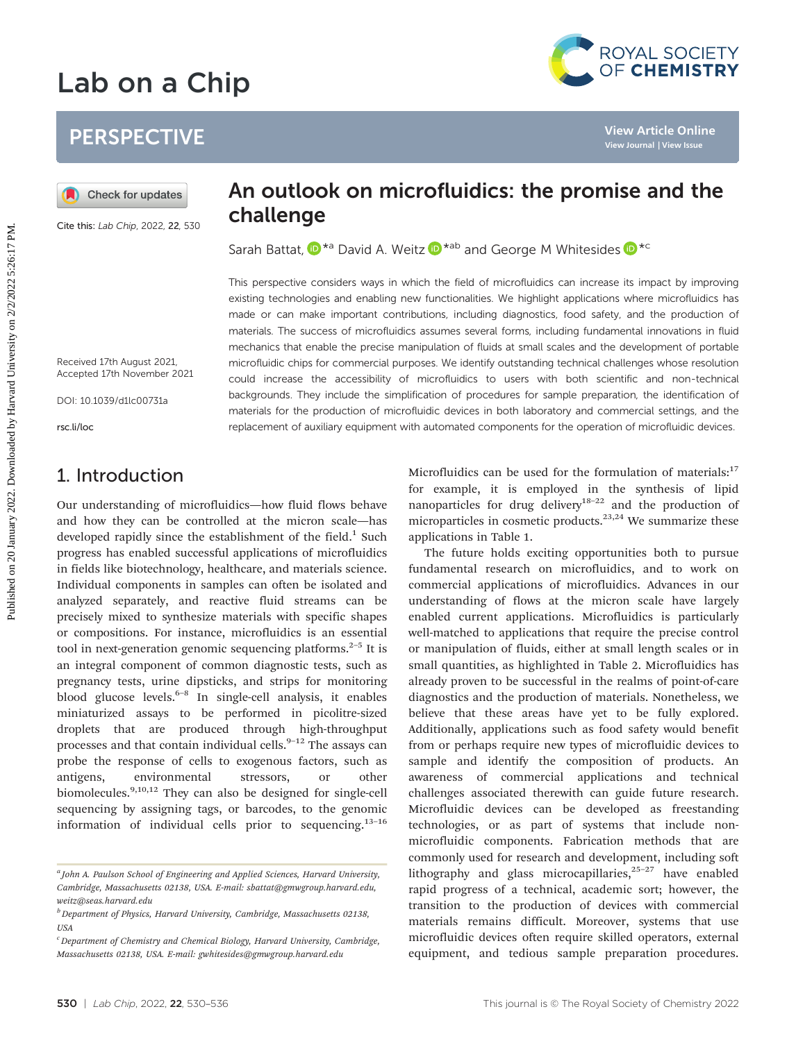# Lab on a Chip



## **PERSPECTIVE**

Cite this: Lab Chip, 2022, 22, 530

## An outlook on microfluidics: the promise and the challenge

Sarah Battat,  $\mathbf{D}^{*a}$  David A. Weitz  $\mathbf{D}^{*ab}$  and George M Whitesides  $\mathbf{D}^{*c}$ 

This perspective considers ways in which the field of microfluidics can increase its impact by improving existing technologies and enabling new functionalities. We highlight applications where microfluidics has made or can make important contributions, including diagnostics, food safety, and the production of materials. The success of microfluidics assumes several forms, including fundamental innovations in fluid mechanics that enable the precise manipulation of fluids at small scales and the development of portable microfluidic chips for commercial purposes. We identify outstanding technical challenges whose resolution could increase the accessibility of microfluidics to users with both scientific and non-technical backgrounds. They include the simplification of procedures for sample preparation, the identification of materials for the production of microfluidic devices in both laboratory and commercial settings, and the replacement of auxiliary equipment with automated components for the operation of microfluidic devices. **PERSPECTIVE**<br> **An outlook on microfluidics: the promise and the sympatric state of the correlation of the correlation of the correlation of the correlation of the correlation of the correlation of the correlation of the c** 

Received 17th August 2021, Accepted 17th November 2021

DOI: 10.1039/d1lc00731a

rsc.li/loc

## 1. Introduction

Our understanding of microfluidics—how fluid flows behave and how they can be controlled at the micron scale—has developed rapidly since the establishment of the field. $<sup>1</sup>$  Such</sup> progress has enabled successful applications of microfluidics in fields like biotechnology, healthcare, and materials science. Individual components in samples can often be isolated and analyzed separately, and reactive fluid streams can be precisely mixed to synthesize materials with specific shapes or compositions. For instance, microfluidics is an essential tool in next-generation genomic sequencing platforms. $2-5$  It is an integral component of common diagnostic tests, such as pregnancy tests, urine dipsticks, and strips for monitoring blood glucose levels. $6-8$  In single-cell analysis, it enables miniaturized assays to be performed in picolitre-sized droplets that are produced through high-throughput processes and that contain individual cells.<sup>9-12</sup> The assays can probe the response of cells to exogenous factors, such as antigens, environmental stressors, or other biomolecules.9,10,12 They can also be designed for single-cell sequencing by assigning tags, or barcodes, to the genomic information of individual cells prior to sequencing.13–<sup>16</sup>

Microfluidics can be used for the formulation of materials: $17$ for example, it is employed in the synthesis of lipid nanoparticles for drug delivery<sup>18–22</sup> and the production of microparticles in cosmetic products.<sup>23,24</sup> We summarize these applications in Table 1.

The future holds exciting opportunities both to pursue fundamental research on microfluidics, and to work on commercial applications of microfluidics. Advances in our understanding of flows at the micron scale have largely enabled current applications. Microfluidics is particularly well-matched to applications that require the precise control or manipulation of fluids, either at small length scales or in small quantities, as highlighted in Table 2. Microfluidics has already proven to be successful in the realms of point-of-care diagnostics and the production of materials. Nonetheless, we believe that these areas have yet to be fully explored. Additionally, applications such as food safety would benefit from or perhaps require new types of microfluidic devices to sample and identify the composition of products. An awareness of commercial applications and technical challenges associated therewith can guide future research. Microfluidic devices can be developed as freestanding technologies, or as part of systems that include nonmicrofluidic components. Fabrication methods that are commonly used for research and development, including soft lithography and glass microcapillaries,<sup>25-27</sup> have enabled rapid progress of a technical, academic sort; however, the transition to the production of devices with commercial materials remains difficult. Moreover, systems that use microfluidic devices often require skilled operators, external equipment, and tedious sample preparation procedures.

<sup>&</sup>lt;sup>a</sup> John A. Paulson School of Engineering and Applied Sciences, Harvard University, Cambridge, Massachusetts 02138, USA. E-mail: sbattat@gmwgroup.harvard.edu, weitz@seas.harvard.edu

 $^{b}$  Department of Physics, Harvard University, Cambridge, Massachusetts 02138, USA

<sup>&</sup>lt;sup>c</sup> Department of Chemistry and Chemical Biology, Harvard University, Cambridge, Massachusetts 02138, USA. E-mail: gwhitesides@gmwgroup.harvard.edu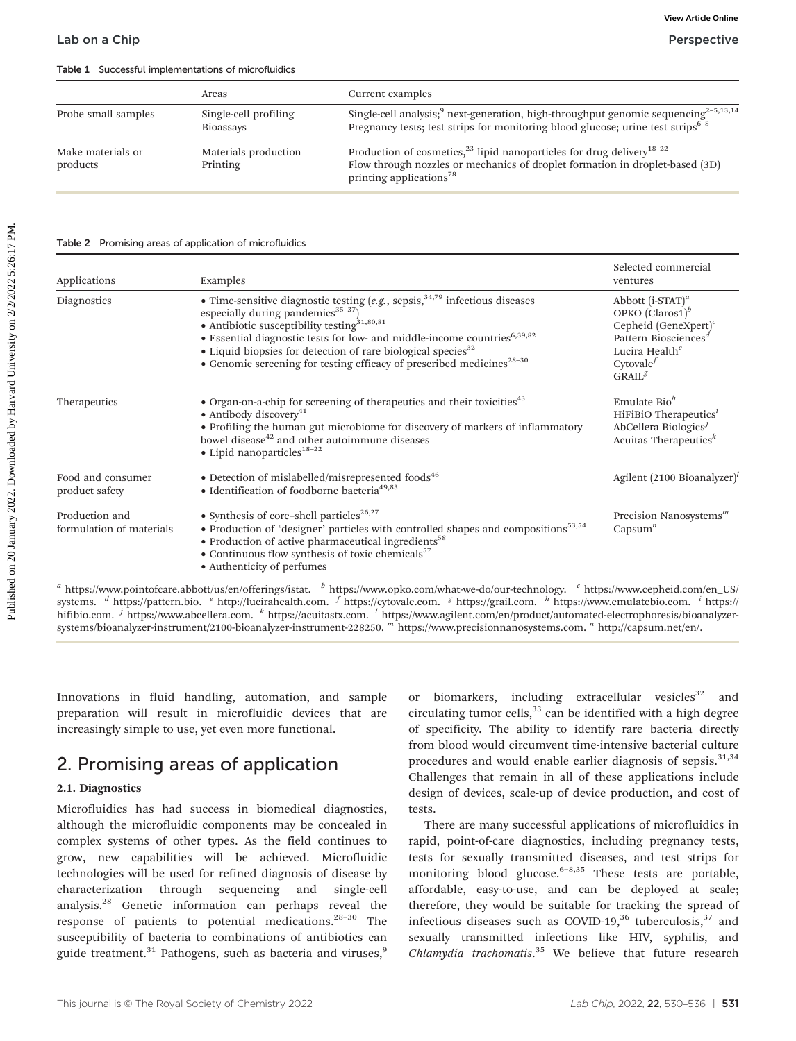Table 1 Successful implementations of microfluidics

|                               | Areas                              | Current examples                                                                                                                                                                                                     |
|-------------------------------|------------------------------------|----------------------------------------------------------------------------------------------------------------------------------------------------------------------------------------------------------------------|
| Probe small samples           | Single-cell profiling<br>Bioassays | Single-cell analysis; <sup>9</sup> next-generation, high-throughput genomic sequencing <sup>2-5,13,14</sup><br>Pregnancy tests; test strips for monitoring blood glucose; urine test strips <sup>6-8</sup>           |
| Make materials or<br>products | Materials production<br>Printing   | Production of cosmetics, <sup>23</sup> lipid nanoparticles for drug delivery <sup>18-22</sup><br>Flow through nozzles or mechanics of droplet formation in droplet-based (3D)<br>printing applications <sup>78</sup> |

#### Table 2 Promising areas of application of microfluidics

|                                                                         | Areas                                                                                                                                                                                                                                                                                                                                                                                                                                                | Current examples                                                                                                                                                                                           |                                                                                                                                                                                   |
|-------------------------------------------------------------------------|------------------------------------------------------------------------------------------------------------------------------------------------------------------------------------------------------------------------------------------------------------------------------------------------------------------------------------------------------------------------------------------------------------------------------------------------------|------------------------------------------------------------------------------------------------------------------------------------------------------------------------------------------------------------|-----------------------------------------------------------------------------------------------------------------------------------------------------------------------------------|
| Probe small samples                                                     | Single-cell profiling<br><b>Bioassays</b>                                                                                                                                                                                                                                                                                                                                                                                                            | Single-cell analysis; <sup>9</sup> next-generation, high-throughput genomic sequencing <sup>2-5,13,14</sup><br>Pregnancy tests; test strips for monitoring blood glucose; urine test strips <sup>6-8</sup> |                                                                                                                                                                                   |
| Make materials or<br>products                                           | Production of cosmetics, <sup>23</sup> lipid nanoparticles for drug delivery <sup>18-22</sup><br>Materials production<br>Flow through nozzles or mechanics of droplet formation in droplet-based (3D)<br>Printing<br>printing applications <sup>78</sup>                                                                                                                                                                                             |                                                                                                                                                                                                            |                                                                                                                                                                                   |
| Table 2 Promising areas of application of microfluidics<br>Applications | Examples                                                                                                                                                                                                                                                                                                                                                                                                                                             |                                                                                                                                                                                                            | Selected commercial<br>ventures                                                                                                                                                   |
| Diagnostics                                                             | • Time-sensitive diagnostic testing $(e.g., sepsis, 34,79$ infectious diseases<br>especially during pandemics <sup>35-37</sup> )<br>• Antibiotic susceptibility testing <sup>31,80,81</sup><br>· Essential diagnostic tests for low- and middle-income countries <sup>6,39,82</sup><br>• Liquid biopsies for detection of rare biological species <sup>32</sup><br>• Genomic screening for testing efficacy of prescribed medicines <sup>28-30</sup> |                                                                                                                                                                                                            | Abbott $(i$ -STAT $)^a$<br>OPKO $(Claros1)^b$<br>Cepheid (GeneXpert) $c$<br>Pattern Biosciences <sup>d</sup><br>Lucira Health <sup>e</sup><br>Cytovale $^f$<br>GRAIL <sup>g</sup> |
| Therapeutics                                                            | • Organ-on-a-chip for screening of therapeutics and their toxicities <sup>43</sup><br>• Antibody discovery <sup>41</sup><br>• Profiling the human gut microbiome for discovery of markers of inflammatory<br>bowel disease <sup>42</sup> and other autoimmune diseases<br>$\bullet$ Lipid nanoparticles <sup>18-22</sup>                                                                                                                             |                                                                                                                                                                                                            | Emulate $Bioh$<br>HiFiBiO Therapeutics $^i$<br>AbCellera Biologics $^{j}$<br>Acuitas Therapeutics <sup>k</sup>                                                                    |
| Food and consumer<br>product safety                                     | • Detection of mislabelled/misrepresented foods <sup>46</sup><br>• Identification of foodborne bacteria <sup>49,83</sup>                                                                                                                                                                                                                                                                                                                             |                                                                                                                                                                                                            | Agilent $(2100$ Bioanalyzer) <sup><math>\prime</math></sup>                                                                                                                       |
| Production and<br>formulation of materials                              | • Synthesis of core-shell particles <sup>26,27</sup><br>• Production of 'designer' particles with controlled shapes and compositions <sup>53,54</sup><br>• Production of active pharmaceutical ingredients <sup>58</sup><br>• Continuous flow synthesis of toxic chemicals <sup>57</sup><br>• Authenticity of perfumes                                                                                                                               |                                                                                                                                                                                                            | Precision Nanosystems $m$<br>Capsum <sup><math>n</math></sup>                                                                                                                     |

 $^a$  <https://www.pointofcare.abbott/us/en/offerings/istat>.  $^b$  [https://www.opko.com/what-we-do/our-technology.](https://www.opko.com/what-we-do/our-technology)  $^c$  [https://www.cepheid.com/en\\_US/](https://www.cepheid.com/en_US/systems) [systems](https://www.cepheid.com/en_US/systems). <sup>d</sup> [https://pattern.bio.](https://pattern.bio) <sup>e</sup> <http://lucirahealth.com>. <sup>f</sup> <https://cytovale.com>. <sup>g</sup> [https://grail.com.](https://grail.com) <sup>h</sup> [https://www.emulatebio.com.](https://www.emulatebio.com) <sup>i</sup> [https://](https://hifibio.com) [hifibio.com](https://hifibio.com). <sup>j</sup> <https://www.abcellera.com>. k [https://acuitastx.com.](https://acuitastx.com) l [https://www.agilent.com/en/product/automated-electrophoresis/bioanalyzer](https://www.agilent.com/en/product/automated-electrophoresis/bioanalyzer-systems/bioanalyzer-instrument/2100-bioanalyzer-instrument-228250)[systems/bioanalyzer-instrument/2100-bioanalyzer-instrument-228250](https://www.agilent.com/en/product/automated-electrophoresis/bioanalyzer-systems/bioanalyzer-instrument/2100-bioanalyzer-instrument-228250). m [https://www.precisionnanosystems.com.](https://www.precisionnanosystems.com) n [http://capsum.net/en/.](http://capsum.net/en/)

Innovations in fluid handling, automation, and sample preparation will result in microfluidic devices that are increasingly simple to use, yet even more functional.

## 2. Promising areas of application

#### 2.1. Diagnostics

Microfluidics has had success in biomedical diagnostics, although the microfluidic components may be concealed in complex systems of other types. As the field continues to grow, new capabilities will be achieved. Microfluidic technologies will be used for refined diagnosis of disease by characterization through sequencing and single-cell analysis.28 Genetic information can perhaps reveal the response of patients to potential medications.28–<sup>30</sup> The susceptibility of bacteria to combinations of antibiotics can guide treatment.<sup>31</sup> Pathogens, such as bacteria and viruses,<sup>9</sup>

or biomarkers, including extracellular vesicles $32$  and circulating tumor cells, $33$  can be identified with a high degree of specificity. The ability to identify rare bacteria directly from blood would circumvent time-intensive bacterial culture procedures and would enable earlier diagnosis of sepsis.<sup>31,34</sup> Challenges that remain in all of these applications include design of devices, scale-up of device production, and cost of tests.

There are many successful applications of microfluidics in rapid, point-of-care diagnostics, including pregnancy tests, tests for sexually transmitted diseases, and test strips for monitoring blood glucose.<sup>6-8,35</sup> These tests are portable, affordable, easy-to-use, and can be deployed at scale; therefore, they would be suitable for tracking the spread of infectious diseases such as COVID-19, $36$  tuberculosis, $37$  and sexually transmitted infections like HIV, syphilis, and Chlamydia trachomatis.<sup>35</sup> We believe that future research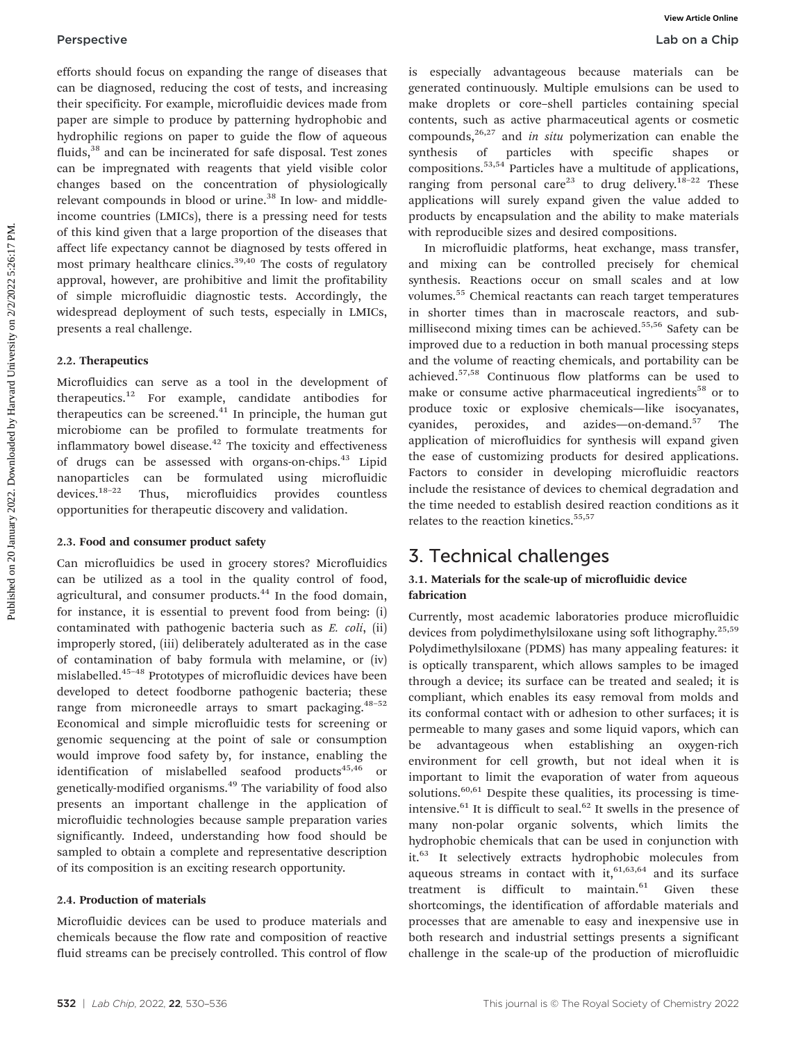efforts should focus on expanding the range of diseases that can be diagnosed, reducing the cost of tests, and increasing their specificity. For example, microfluidic devices made from paper are simple to produce by patterning hydrophobic and hydrophilic regions on paper to guide the flow of aqueous fluids,<sup>38</sup> and can be incinerated for safe disposal. Test zones can be impregnated with reagents that yield visible color changes based on the concentration of physiologically relevant compounds in blood or urine.<sup>38</sup> In low- and middleincome countries (LMICs), there is a pressing need for tests of this kind given that a large proportion of the diseases that affect life expectancy cannot be diagnosed by tests offered in most primary healthcare clinics. $39,40$  The costs of regulatory approval, however, are prohibitive and limit the profitability of simple microfluidic diagnostic tests. Accordingly, the widespread deployment of such tests, especially in LMICs, presents a real challenge.

#### 2.2. Therapeutics

Microfluidics can serve as a tool in the development of therapeutics.12 For example, candidate antibodies for therapeutics can be screened. $41$  In principle, the human gut microbiome can be profiled to formulate treatments for inflammatory bowel disease.<sup>42</sup> The toxicity and effectiveness of drugs can be assessed with organs-on-chips.<sup>43</sup> Lipid nanoparticles can be formulated using microfluidic devices.18–<sup>22</sup> Thus, microfluidics provides countless opportunities for therapeutic discovery and validation.

#### 2.3. Food and consumer product safety

Can microfluidics be used in grocery stores? Microfluidics can be utilized as a tool in the quality control of food, agricultural, and consumer products.<sup>44</sup> In the food domain, for instance, it is essential to prevent food from being: (i) contaminated with pathogenic bacteria such as E. coli, (ii) improperly stored, (iii) deliberately adulterated as in the case of contamination of baby formula with melamine, or (iv) mislabelled.45–<sup>48</sup> Prototypes of microfluidic devices have been developed to detect foodborne pathogenic bacteria; these range from microneedle arrays to smart packaging.<sup>48-52</sup> Economical and simple microfluidic tests for screening or genomic sequencing at the point of sale or consumption would improve food safety by, for instance, enabling the identification of mislabelled seafood products<sup>45,46</sup> or genetically-modified organisms.<sup>49</sup> The variability of food also presents an important challenge in the application of microfluidic technologies because sample preparation varies significantly. Indeed, understanding how food should be sampled to obtain a complete and representative description of its composition is an exciting research opportunity.

#### 2.4. Production of materials

Microfluidic devices can be used to produce materials and chemicals because the flow rate and composition of reactive fluid streams can be precisely controlled. This control of flow is especially advantageous because materials can be generated continuously. Multiple emulsions can be used to make droplets or core–shell particles containing special contents, such as active pharmaceutical agents or cosmetic compounds,  $26,27$  and in situ polymerization can enable the synthesis of particles with specific shapes or compositions.53,54 Particles have a multitude of applications, ranging from personal care<sup>23</sup> to drug delivery.<sup>18–22</sup> These applications will surely expand given the value added to products by encapsulation and the ability to make materials with reproducible sizes and desired compositions.

In microfluidic platforms, heat exchange, mass transfer, and mixing can be controlled precisely for chemical synthesis. Reactions occur on small scales and at low volumes.<sup>55</sup> Chemical reactants can reach target temperatures in shorter times than in macroscale reactors, and submillisecond mixing times can be achieved.<sup>55,56</sup> Safety can be improved due to a reduction in both manual processing steps and the volume of reacting chemicals, and portability can be achieved.57,58 Continuous flow platforms can be used to make or consume active pharmaceutical ingredients<sup>58</sup> or to produce toxic or explosive chemicals—like isocyanates, cyanides, peroxides, and azides—on-demand.<sup>57</sup> The application of microfluidics for synthesis will expand given the ease of customizing products for desired applications. Factors to consider in developing microfluidic reactors include the resistance of devices to chemical degradation and the time needed to establish desired reaction conditions as it relates to the reaction kinetics.<sup>55,57</sup> **Perspective**<br> **Control** distance on comparison the distance of distance that is expecially advantageous lectuate an interdimented control distance in the distance of the same in the distance of the same in the same in th

## 3. Technical challenges

#### 3.1. Materials for the scale-up of microfluidic device fabrication

Currently, most academic laboratories produce microfluidic devices from polydimethylsiloxane using soft lithography.25,59 Polydimethylsiloxane (PDMS) has many appealing features: it is optically transparent, which allows samples to be imaged through a device; its surface can be treated and sealed; it is compliant, which enables its easy removal from molds and its conformal contact with or adhesion to other surfaces; it is permeable to many gases and some liquid vapors, which can be advantageous when establishing an oxygen-rich environment for cell growth, but not ideal when it is important to limit the evaporation of water from aqueous solutions.<sup>60,61</sup> Despite these qualities, its processing is timeintensive.<sup>61</sup> It is difficult to seal.<sup>62</sup> It swells in the presence of many non-polar organic solvents, which limits the hydrophobic chemicals that can be used in conjunction with it.<sup>63</sup> It selectively extracts hydrophobic molecules from aqueous streams in contact with  $it, 61,63,64$  and its surface treatment is difficult to maintain. $61$  Given these shortcomings, the identification of affordable materials and processes that are amenable to easy and inexpensive use in both research and industrial settings presents a significant challenge in the scale-up of the production of microfluidic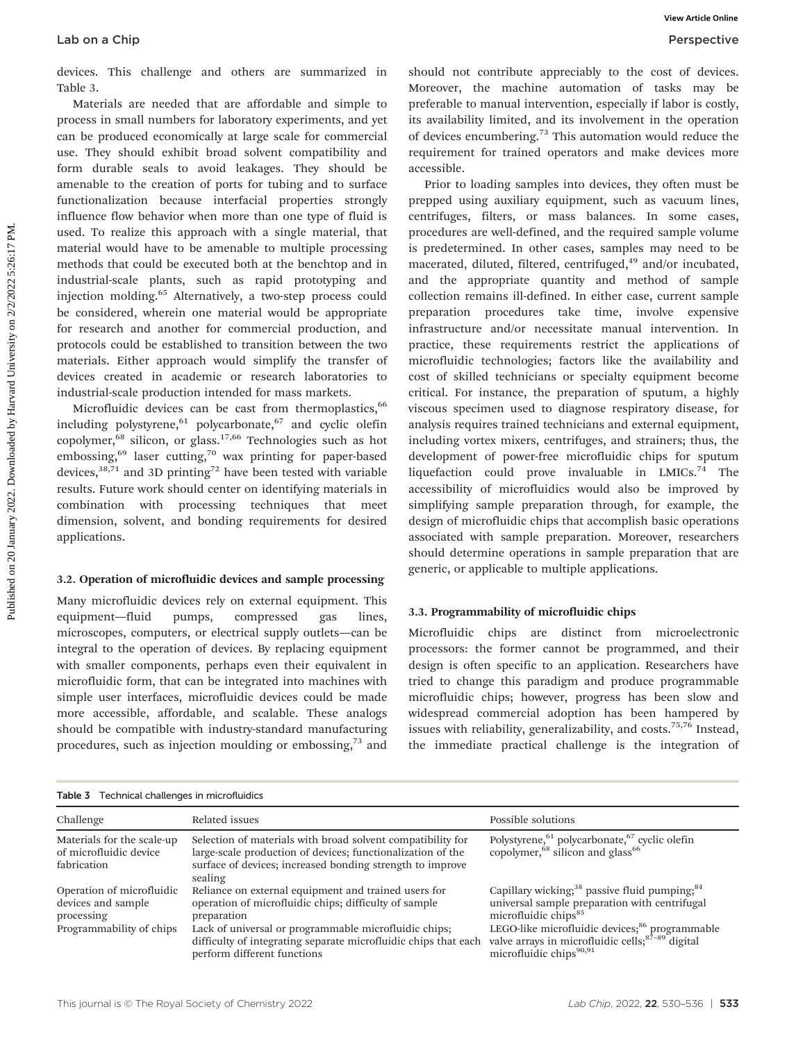devices. This challenge and others are summarized in Table 3.

Materials are needed that are affordable and simple to process in small numbers for laboratory experiments, and yet can be produced economically at large scale for commercial use. They should exhibit broad solvent compatibility and form durable seals to avoid leakages. They should be amenable to the creation of ports for tubing and to surface functionalization because interfacial properties strongly influence flow behavior when more than one type of fluid is used. To realize this approach with a single material, that material would have to be amenable to multiple processing methods that could be executed both at the benchtop and in industrial-scale plants, such as rapid prototyping and injection molding.<sup>65</sup> Alternatively, a two-step process could be considered, wherein one material would be appropriate for research and another for commercial production, and protocols could be established to transition between the two materials. Either approach would simplify the transfer of devices created in academic or research laboratories to industrial-scale production intended for mass markets.

Microfluidic devices can be cast from thermoplastics,<sup>66</sup> including polystyrene,  $61$  polycarbonate,  $67$  and cyclic olefin copolymer, $68$  silicon, or glass.<sup>17,66</sup> Technologies such as hot embossing, $69$  laser cutting, $70$  wax printing for paper-based devices, $38,71$  and 3D printing<sup>72</sup> have been tested with variable results. Future work should center on identifying materials in combination with processing techniques that meet dimension, solvent, and bonding requirements for desired applications.

#### 3.2. Operation of microfluidic devices and sample processing

Many microfluidic devices rely on external equipment. This equipment—fluid pumps, compressed gas lines, microscopes, computers, or electrical supply outlets—can be integral to the operation of devices. By replacing equipment with smaller components, perhaps even their equivalent in microfluidic form, that can be integrated into machines with simple user interfaces, microfluidic devices could be made more accessible, affordable, and scalable. These analogs should be compatible with industry-standard manufacturing procedures, such as injection moulding or embossing,<sup>73</sup> and

should not contribute appreciably to the cost of devices. Moreover, the machine automation of tasks may be preferable to manual intervention, especially if labor is costly, its availability limited, and its involvement in the operation of devices encumbering.<sup>73</sup> This automation would reduce the requirement for trained operators and make devices more accessible.

Prior to loading samples into devices, they often must be prepped using auxiliary equipment, such as vacuum lines, centrifuges, filters, or mass balances. In some cases, procedures are well-defined, and the required sample volume is predetermined. In other cases, samples may need to be macerated, diluted, filtered, centrifuged,<sup>49</sup> and/or incubated, and the appropriate quantity and method of sample collection remains ill-defined. In either case, current sample preparation procedures take time, involve expensive infrastructure and/or necessitate manual intervention. In practice, these requirements restrict the applications of microfluidic technologies; factors like the availability and cost of skilled technicians or specialty equipment become critical. For instance, the preparation of sputum, a highly viscous specimen used to diagnose respiratory disease, for analysis requires trained technicians and external equipment, including vortex mixers, centrifuges, and strainers; thus, the development of power-free microfluidic chips for sputum liquefaction could prove invaluable in  $LMICS.<sup>74</sup>$  The accessibility of microfluidics would also be improved by simplifying sample preparation through, for example, the design of microfluidic chips that accomplish basic operations associated with sample preparation. Moreover, researchers should determine operations in sample preparation that are generic, or applicable to multiple applications. Lab on a Chip weak on a chip wave of the mail of the mail of the mail of the mail of the mail of the mail of the mail of the mail of the mail of the mail of the mail of the mail of the mail of the mail of the mail of the m

#### 3.3. Programmability of microfluidic chips

Microfluidic chips are distinct from microelectronic processors: the former cannot be programmed, and their design is often specific to an application. Researchers have tried to change this paradigm and produce programmable microfluidic chips; however, progress has been slow and widespread commercial adoption has been hampered by issues with reliability, generalizability, and costs. $75,76$  Instead, the immediate practical challenge is the integration of

| Table 3 Technical challenges in microfluidics                                             |                                                                                                                                                                                                                                                                                         |                                                                                                                                                                                                                                                                                                                        |  |  |  |
|-------------------------------------------------------------------------------------------|-----------------------------------------------------------------------------------------------------------------------------------------------------------------------------------------------------------------------------------------------------------------------------------------|------------------------------------------------------------------------------------------------------------------------------------------------------------------------------------------------------------------------------------------------------------------------------------------------------------------------|--|--|--|
| Challenge                                                                                 | Related issues                                                                                                                                                                                                                                                                          | Possible solutions                                                                                                                                                                                                                                                                                                     |  |  |  |
| Materials for the scale-up<br>of microfluidic device<br>fabrication                       | Selection of materials with broad solvent compatibility for<br>large-scale production of devices; functionalization of the<br>surface of devices; increased bonding strength to improve<br>sealing                                                                                      | Polystyrene, <sup>61</sup> polycarbonate, <sup>67</sup> cyclic olefin<br>copolymer, <sup>68</sup> silicon and glass <sup>66</sup>                                                                                                                                                                                      |  |  |  |
| Operation of microfluidic<br>devices and sample<br>processing<br>Programmability of chips | Reliance on external equipment and trained users for<br>operation of microfluidic chips; difficulty of sample<br>preparation<br>Lack of universal or programmable microfluidic chips;<br>difficulty of integrating separate microfluidic chips that each<br>perform different functions | Capillary wicking; <sup>38</sup> passive fluid pumping; <sup>84</sup><br>universal sample preparation with centrifugal<br>microfluidic chips <sup>85</sup><br>LEGO-like microfluidic devices; <sup>86</sup> programmable<br>valve arrays in microfluidic cells; $87-89$ digital<br>microfluidic chips <sup>90,91</sup> |  |  |  |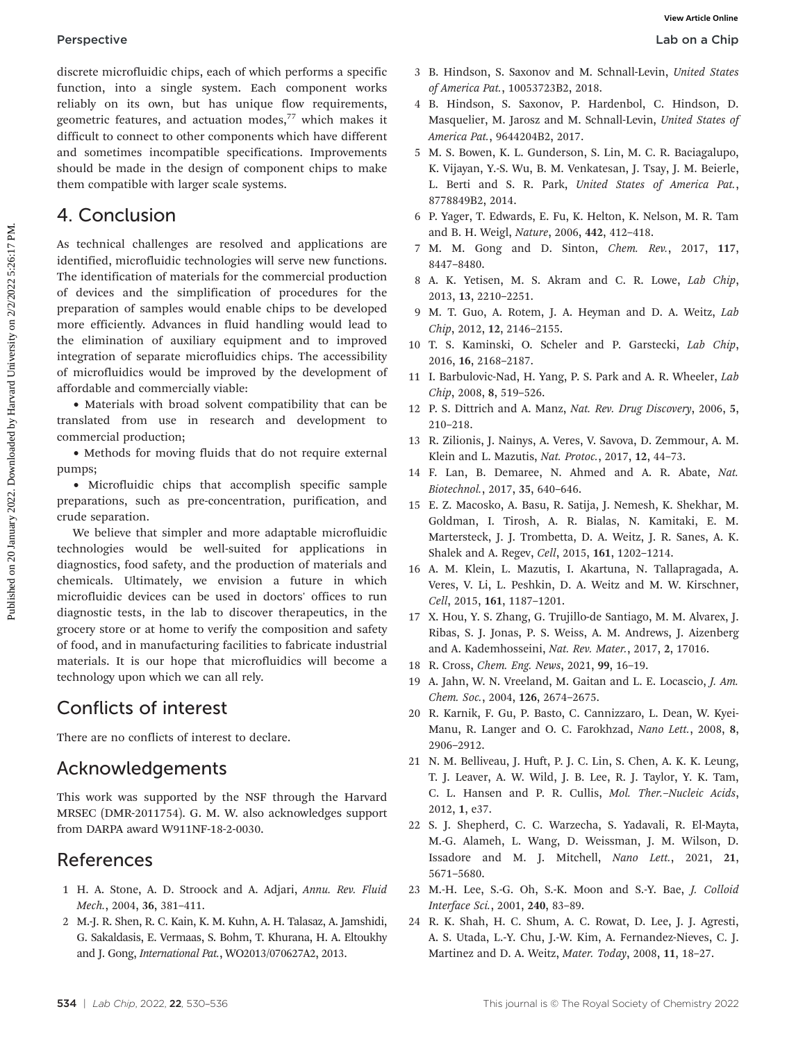discrete microfluidic chips, each of which performs a specific function, into a single system. Each component works reliably on its own, but has unique flow requirements, geometric features, and actuation modes, $77$  which makes it difficult to connect to other components which have different and sometimes incompatible specifications. Improvements should be made in the design of component chips to make them compatible with larger scale systems.

## 4. Conclusion

As technical challenges are resolved and applications are identified, microfluidic technologies will serve new functions. The identification of materials for the commercial production of devices and the simplification of procedures for the preparation of samples would enable chips to be developed more efficiently. Advances in fluid handling would lead to the elimination of auxiliary equipment and to improved integration of separate microfluidics chips. The accessibility of microfluidics would be improved by the development of affordable and commercially viable: **Perspective**<br> **Controlling controlling controlling controlling controlling controlling controlling controlling controlling controlling controlling controlling controlling controlling controlling controlling controlling c** 

• Materials with broad solvent compatibility that can be translated from use in research and development to commercial production;

• Methods for moving fluids that do not require external pumps;

• Microfluidic chips that accomplish specific sample preparations, such as pre-concentration, purification, and crude separation.

We believe that simpler and more adaptable microfluidic technologies would be well-suited for applications in diagnostics, food safety, and the production of materials and chemicals. Ultimately, we envision a future in which microfluidic devices can be used in doctors' offices to run diagnostic tests, in the lab to discover therapeutics, in the grocery store or at home to verify the composition and safety of food, and in manufacturing facilities to fabricate industrial materials. It is our hope that microfluidics will become a technology upon which we can all rely.

## Conflicts of interest

There are no conflicts of interest to declare.

## Acknowledgements

This work was supported by the NSF through the Harvard MRSEC (DMR-2011754). G. M. W. also acknowledges support from DARPA award W911NF-18-2-0030.

## References

- 1 H. A. Stone, A. D. Stroock and A. Adjari, Annu. Rev. Fluid Mech., 2004, 36, 381–411.
- 2 M.-J. R. Shen, R. C. Kain, K. M. Kuhn, A. H. Talasaz, A. Jamshidi, G. Sakaldasis, E. Vermaas, S. Bohm, T. Khurana, H. A. Eltoukhy and J. Gong, International Pat., WO2013/070627A2, 2013.
- 3 B. Hindson, S. Saxonov and M. Schnall-Levin, United States of America Pat., 10053723B2, 2018.
- 4 B. Hindson, S. Saxonov, P. Hardenbol, C. Hindson, D. Masquelier, M. Jarosz and M. Schnall-Levin, United States of America Pat., 9644204B2, 2017.
- 5 M. S. Bowen, K. L. Gunderson, S. Lin, M. C. R. Baciagalupo, K. Vijayan, Y.-S. Wu, B. M. Venkatesan, J. Tsay, J. M. Beierle, L. Berti and S. R. Park, United States of America Pat., 8778849B2, 2014.
- 6 P. Yager, T. Edwards, E. Fu, K. Helton, K. Nelson, M. R. Tam and B. H. Weigl, Nature, 2006, 442, 412–418.
- 7 M. M. Gong and D. Sinton, Chem. Rev., 2017, 117, 8447–8480.
- 8 A. K. Yetisen, M. S. Akram and C. R. Lowe, Lab Chip, 2013, 13, 2210–2251.
- 9 M. T. Guo, A. Rotem, J. A. Heyman and D. A. Weitz, Lab Chip, 2012, 12, 2146–2155.
- 10 T. S. Kaminski, O. Scheler and P. Garstecki, Lab Chip, 2016, 16, 2168–2187.
- 11 I. Barbulovic-Nad, H. Yang, P. S. Park and A. R. Wheeler, Lab Chip, 2008, 8, 519–526.
- 12 P. S. Dittrich and A. Manz, Nat. Rev. Drug Discovery, 2006, 5, 210–218.
- 13 R. Zilionis, J. Nainys, A. Veres, V. Savova, D. Zemmour, A. M. Klein and L. Mazutis, Nat. Protoc., 2017, 12, 44–73.
- 14 F. Lan, B. Demaree, N. Ahmed and A. R. Abate, Nat. Biotechnol., 2017, 35, 640–646.
- 15 E. Z. Macosko, A. Basu, R. Satija, J. Nemesh, K. Shekhar, M. Goldman, I. Tirosh, A. R. Bialas, N. Kamitaki, E. M. Martersteck, J. J. Trombetta, D. A. Weitz, J. R. Sanes, A. K. Shalek and A. Regev, Cell, 2015, 161, 1202–1214.
- 16 A. M. Klein, L. Mazutis, I. Akartuna, N. Tallapragada, A. Veres, V. Li, L. Peshkin, D. A. Weitz and M. W. Kirschner, Cell, 2015, 161, 1187–1201.
- 17 X. Hou, Y. S. Zhang, G. Trujillo-de Santiago, M. M. Alvarex, J. Ribas, S. J. Jonas, P. S. Weiss, A. M. Andrews, J. Aizenberg and A. Kademhosseini, Nat. Rev. Mater., 2017, 2, 17016.
- 18 R. Cross, Chem. Eng. News, 2021, 99, 16–19.
- 19 A. Jahn, W. N. Vreeland, M. Gaitan and L. E. Locascio, J. Am. Chem. Soc., 2004, 126, 2674–2675.
- 20 R. Karnik, F. Gu, P. Basto, C. Cannizzaro, L. Dean, W. Kyei-Manu, R. Langer and O. C. Farokhzad, Nano Lett., 2008, 8, 2906–2912.
- 21 N. M. Belliveau, J. Huft, P. J. C. Lin, S. Chen, A. K. K. Leung, T. J. Leaver, A. W. Wild, J. B. Lee, R. J. Taylor, Y. K. Tam, C. L. Hansen and P. R. Cullis, Mol. Ther.–Nucleic Acids, 2012, 1, e37.
- 22 S. J. Shepherd, C. C. Warzecha, S. Yadavali, R. El-Mayta, M.-G. Alameh, L. Wang, D. Weissman, J. M. Wilson, D. Issadore and M. J. Mitchell, Nano Lett., 2021, 21, 5671–5680.
- 23 M.-H. Lee, S.-G. Oh, S.-K. Moon and S.-Y. Bae, J. Colloid Interface Sci., 2001, 240, 83–89.
- 24 R. K. Shah, H. C. Shum, A. C. Rowat, D. Lee, J. J. Agresti, A. S. Utada, L.-Y. Chu, J.-W. Kim, A. Fernandez-Nieves, C. J. Martinez and D. A. Weitz, Mater. Today, 2008, 11, 18–27.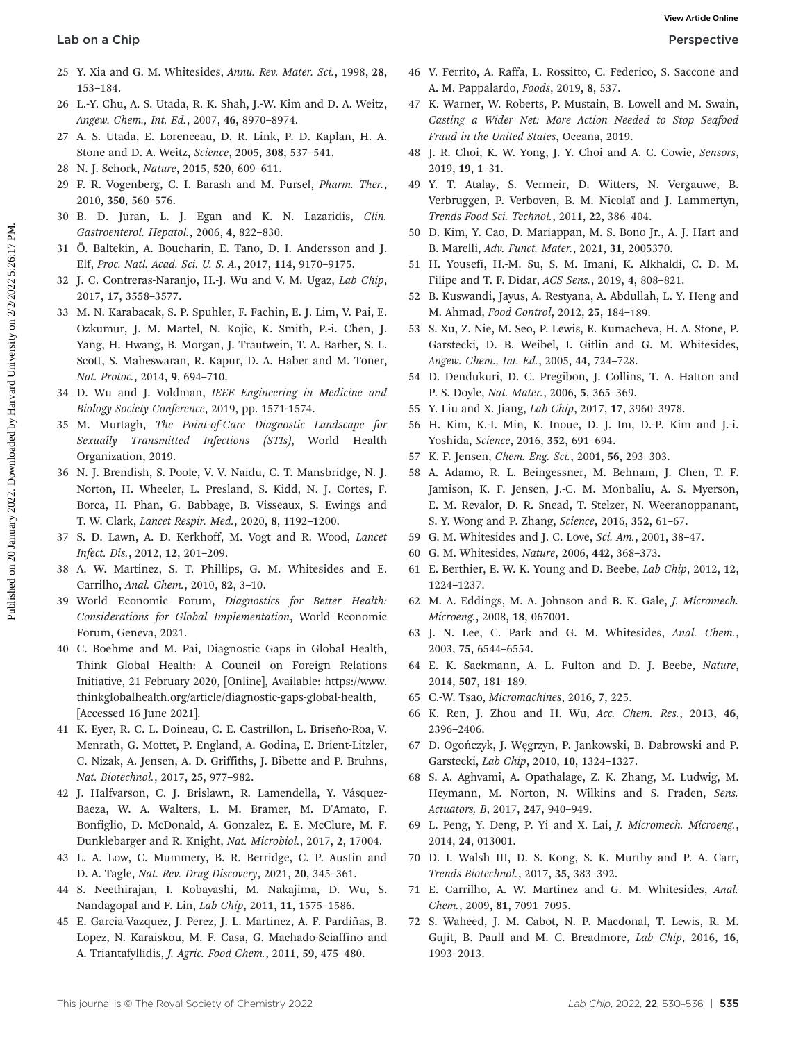- 25 Y. Xia and G. M. Whitesides, Annu. Rev. Mater. Sci., 1998, 28, 153–184.
- 26 L.-Y. Chu, A. S. Utada, R. K. Shah, J.-W. Kim and D. A. Weitz, Angew. Chem., Int. Ed., 2007, 46, 8970–8974.
- 27 A. S. Utada, E. Lorenceau, D. R. Link, P. D. Kaplan, H. A. Stone and D. A. Weitz, Science, 2005, 308, 537–541.
- 28 N. J. Schork, Nature, 2015, 520, 609–611.
- 29 F. R. Vogenberg, C. I. Barash and M. Pursel, Pharm. Ther., 2010, 350, 560–576.
- 30 B. D. Juran, L. J. Egan and K. N. Lazaridis, Clin. Gastroenterol. Hepatol., 2006, 4, 822–830.
- 31 Ö. Baltekin, A. Boucharin, E. Tano, D. I. Andersson and J. Elf, Proc. Natl. Acad. Sci. U. S. A., 2017, 114, 9170–9175.
- 32 J. C. Contreras-Naranjo, H.-J. Wu and V. M. Ugaz, Lab Chip, 2017, 17, 3558–3577.
- 33 M. N. Karabacak, S. P. Spuhler, F. Fachin, E. J. Lim, V. Pai, E. Ozkumur, J. M. Martel, N. Kojic, K. Smith, P.-i. Chen, J. Yang, H. Hwang, B. Morgan, J. Trautwein, T. A. Barber, S. L. Scott, S. Maheswaran, R. Kapur, D. A. Haber and M. Toner, Nat. Protoc., 2014, 9, 694–710. **Lab on a Chip Source Control on 20** January 2022. The statistics control on 2022. The statistics of the statistics of the statistics of the statistics of the statistics of the statistics of the statistics of the statisti
	- 34 D. Wu and J. Voldman, IEEE Engineering in Medicine and Biology Society Conference, 2019, pp. 1571-1574.
	- 35 M. Murtagh, The Point-of-Care Diagnostic Landscape for Sexually Transmitted Infections (STIs), World Health Organization, 2019.
	- 36 N. J. Brendish, S. Poole, V. V. Naidu, C. T. Mansbridge, N. J. Norton, H. Wheeler, L. Presland, S. Kidd, N. J. Cortes, F. Borca, H. Phan, G. Babbage, B. Visseaux, S. Ewings and T. W. Clark, Lancet Respir. Med., 2020, 8, 1192–1200.
	- 37 S. D. Lawn, A. D. Kerkhoff, M. Vogt and R. Wood, Lancet Infect. Dis., 2012, 12, 201–209.
	- 38 A. W. Martinez, S. T. Phillips, G. M. Whitesides and E. Carrilho, Anal. Chem., 2010, 82, 3–10.
	- 39 World Economic Forum, Diagnostics for Better Health: Considerations for Global Implementation, World Economic Forum, Geneva, 2021.
	- 40 C. Boehme and M. Pai, Diagnostic Gaps in Global Health, Think Global Health: A Council on Foreign Relations Initiative, 21 February 2020, [Online], Available: [https://www.](https://www.thinkglobalhealth.org/article/diagnostic-gaps-global-health) [thinkglobalhealth.org/article/diagnostic-gaps-global-health](https://www.thinkglobalhealth.org/article/diagnostic-gaps-global-health), [Accessed 16 June 2021].
	- 41 K. Eyer, R. C. L. Doineau, C. E. Castrillon, L. Briseño-Roa, V. Menrath, G. Mottet, P. England, A. Godina, E. Brient-Litzler, C. Nizak, A. Jensen, A. D. Griffiths, J. Bibette and P. Bruhns, Nat. Biotechnol., 2017, 25, 977–982.
	- 42 J. Halfvarson, C. J. Brislawn, R. Lamendella, Y. Vásquez-Baeza, W. A. Walters, L. M. Bramer, M. D'Amato, F. Bonfiglio, D. McDonald, A. Gonzalez, E. E. McClure, M. F. Dunklebarger and R. Knight, Nat. Microbiol., 2017, 2, 17004.
	- 43 L. A. Low, C. Mummery, B. R. Berridge, C. P. Austin and D. A. Tagle, Nat. Rev. Drug Discovery, 2021, 20, 345–361.
	- 44 S. Neethirajan, I. Kobayashi, M. Nakajima, D. Wu, S. Nandagopal and F. Lin, Lab Chip, 2011, 11, 1575–1586.
	- 45 E. Garcia-Vazquez, J. Perez, J. L. Martinez, A. F. Pardiñas, B. Lopez, N. Karaiskou, M. F. Casa, G. Machado-Sciaffino and A. Triantafyllidis, J. Agric. Food Chem., 2011, 59, 475–480.
- 46 V. Ferrito, A. Raffa, L. Rossitto, C. Federico, S. Saccone and A. M. Pappalardo, Foods, 2019, 8, 537.
- 47 K. Warner, W. Roberts, P. Mustain, B. Lowell and M. Swain, Casting a Wider Net: More Action Needed to Stop Seafood Fraud in the United States, Oceana, 2019.
- 48 J. R. Choi, K. W. Yong, J. Y. Choi and A. C. Cowie, Sensors, 2019, 19, 1–31.
- 49 Y. T. Atalay, S. Vermeir, D. Witters, N. Vergauwe, B. Verbruggen, P. Verboven, B. M. Nicolaï and J. Lammertyn, Trends Food Sci. Technol., 2011, 22, 386–404.
- 50 D. Kim, Y. Cao, D. Mariappan, M. S. Bono Jr., A. J. Hart and B. Marelli, Adv. Funct. Mater., 2021, 31, 2005370.
- 51 H. Yousefi, H.-M. Su, S. M. Imani, K. Alkhaldi, C. D. M. Filipe and T. F. Didar, ACS Sens., 2019, 4, 808–821.
- 52 B. Kuswandi, Jayus, A. Restyana, A. Abdullah, L. Y. Heng and M. Ahmad, Food Control, 2012, 25, 184–189.
- 53 S. Xu, Z. Nie, M. Seo, P. Lewis, E. Kumacheva, H. A. Stone, P. Garstecki, D. B. Weibel, I. Gitlin and G. M. Whitesides, Angew. Chem., Int. Ed., 2005, 44, 724–728.
- 54 D. Dendukuri, D. C. Pregibon, J. Collins, T. A. Hatton and P. S. Doyle, Nat. Mater., 2006, 5, 365–369.
- 55 Y. Liu and X. Jiang, Lab Chip, 2017, 17, 3960–3978.
- 56 H. Kim, K.-I. Min, K. Inoue, D. J. Im, D.-P. Kim and J.-i. Yoshida, Science, 2016, 352, 691–694.
- 57 K. F. Jensen, Chem. Eng. Sci., 2001, 56, 293–303.
- 58 A. Adamo, R. L. Beingessner, M. Behnam, J. Chen, T. F. Jamison, K. F. Jensen, J.-C. M. Monbaliu, A. S. Myerson, E. M. Revalor, D. R. Snead, T. Stelzer, N. Weeranoppanant, S. Y. Wong and P. Zhang, Science, 2016, 352, 61–67.
- 59 G. M. Whitesides and J. C. Love, Sci. Am., 2001, 38–47.
- 60 G. M. Whitesides, Nature, 2006, 442, 368–373.
- 61 E. Berthier, E. W. K. Young and D. Beebe, Lab Chip, 2012, 12, 1224–1237.
- 62 M. A. Eddings, M. A. Johnson and B. K. Gale, J. Micromech. Microeng., 2008, 18, 067001.
- 63 J. N. Lee, C. Park and G. M. Whitesides, Anal. Chem., 2003, 75, 6544–6554.
- 64 E. K. Sackmann, A. L. Fulton and D. J. Beebe, Nature, 2014, 507, 181–189.
- 65 C.-W. Tsao, Micromachines, 2016, 7, 225.
- 66 K. Ren, J. Zhou and H. Wu, Acc. Chem. Res., 2013, 46, 2396–2406.
- 67 D. Ogończyk, J. Węgrzyn, P. Jankowski, B. Dabrowski and P. Garstecki, Lab Chip, 2010, 10, 1324–1327.
- 68 S. A. Aghvami, A. Opathalage, Z. K. Zhang, M. Ludwig, M. Heymann, M. Norton, N. Wilkins and S. Fraden, Sens. Actuators, B, 2017, 247, 940–949.
- 69 L. Peng, Y. Deng, P. Yi and X. Lai, J. Micromech. Microeng., 2014, 24, 013001.
- 70 D. I. Walsh III, D. S. Kong, S. K. Murthy and P. A. Carr, Trends Biotechnol., 2017, 35, 383–392.
- 71 E. Carrilho, A. W. Martinez and G. M. Whitesides, Anal. Chem., 2009, 81, 7091–7095.
- 72 S. Waheed, J. M. Cabot, N. P. Macdonal, T. Lewis, R. M. Gujit, B. Paull and M. C. Breadmore, Lab Chip, 2016, 16, 1993–2013.